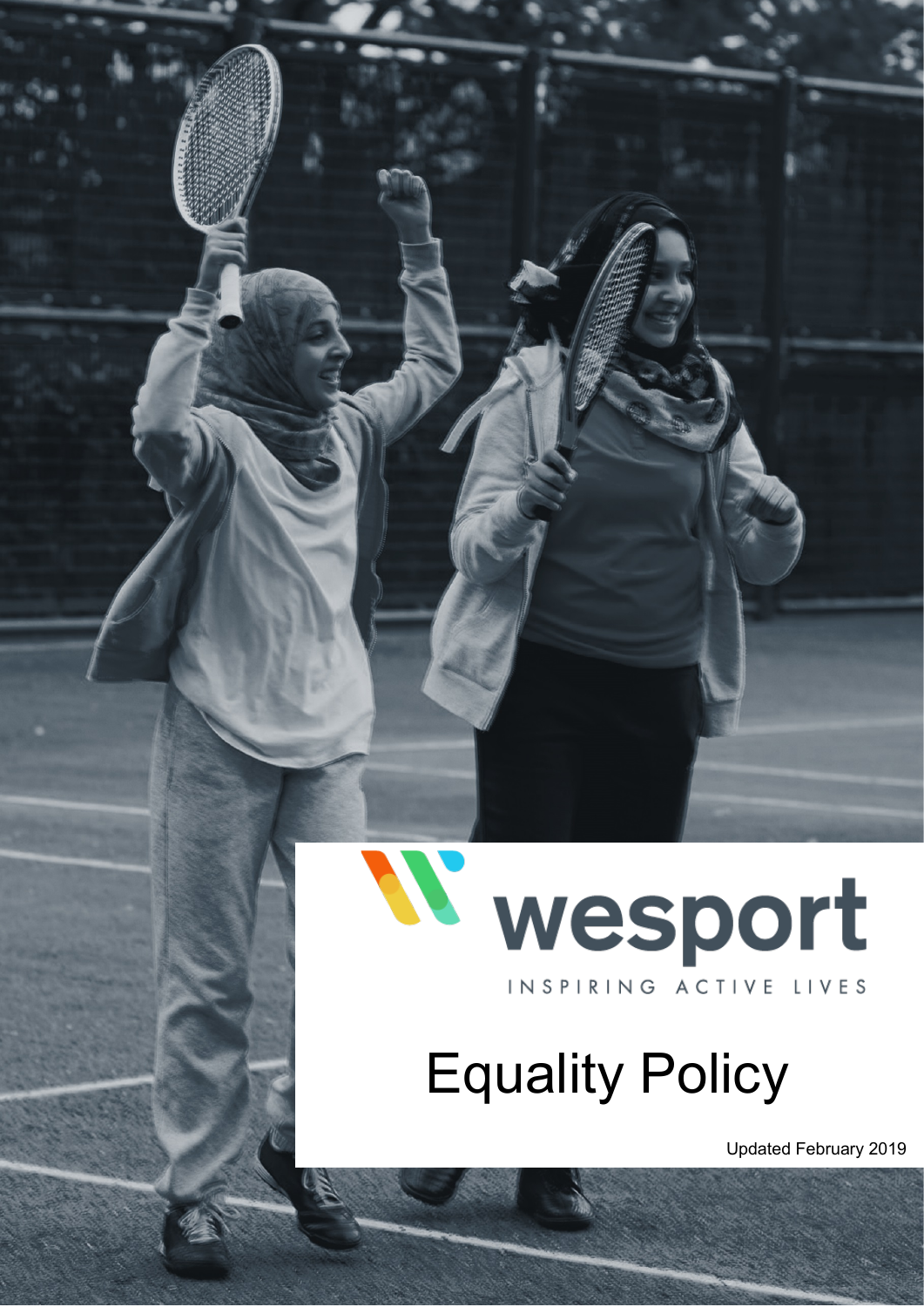

# Equality Policy

Updated February 2019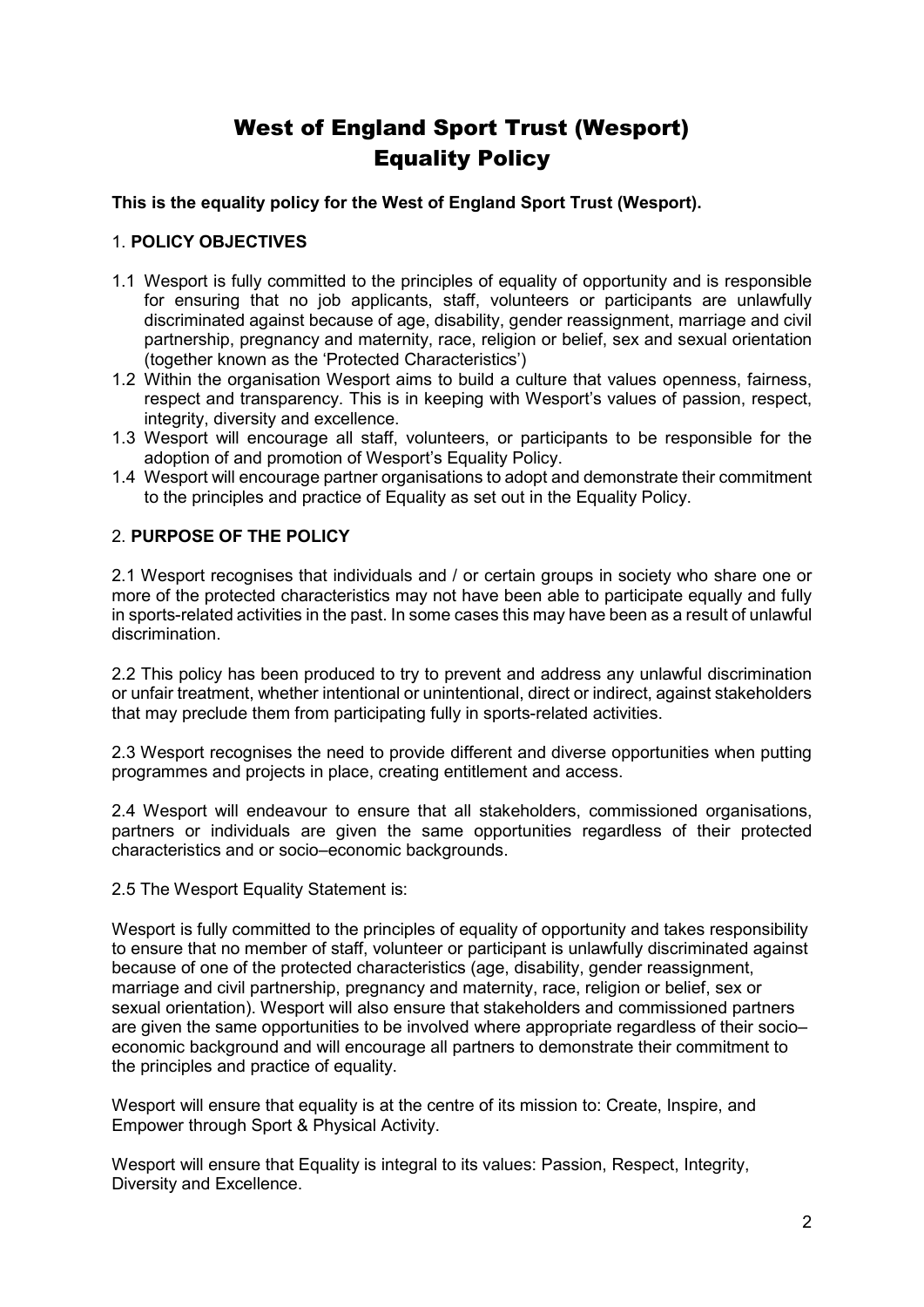# West of England Sport Trust (Wesport) Equality Policy

**This is the equality policy for the West of England Sport Trust (Wesport).** 

# 1. **POLICY OBJECTIVES**

- 1.1 Wesport is fully committed to the principles of equality of opportunity and is responsible for ensuring that no job applicants, staff, volunteers or participants are unlawfully discriminated against because of age, disability, gender reassignment, marriage and civil partnership, pregnancy and maternity, race, religion or belief, sex and sexual orientation (together known as the 'Protected Characteristics')
- 1.2 Within the organisation Wesport aims to build a culture that values openness, fairness, respect and transparency. This is in keeping with Wesport's values of passion, respect, integrity, diversity and excellence.
- 1.3 Wesport will encourage all staff, volunteers, or participants to be responsible for the adoption of and promotion of Wesport's Equality Policy.
- 1.4 Wesport will encourage partner organisations to adopt and demonstrate their commitment to the principles and practice of Equality as set out in the Equality Policy.

# 2. **PURPOSE OF THE POLICY**

2.1 Wesport recognises that individuals and / or certain groups in society who share one or more of the protected characteristics may not have been able to participate equally and fully in sports-related activities in the past. In some cases this may have been as a result of unlawful discrimination.

2.2 This policy has been produced to try to prevent and address any unlawful discrimination or unfair treatment, whether intentional or unintentional, direct or indirect, against stakeholders that may preclude them from participating fully in sports-related activities.

2.3 Wesport recognises the need to provide different and diverse opportunities when putting programmes and projects in place, creating entitlement and access.

2.4 Wesport will endeavour to ensure that all stakeholders, commissioned organisations, partners or individuals are given the same opportunities regardless of their protected characteristics and or socio–economic backgrounds.

2.5 The Wesport Equality Statement is:

Wesport is fully committed to the principles of equality of opportunity and takes responsibility to ensure that no member of staff, volunteer or participant is unlawfully discriminated against because of one of the protected characteristics (age, disability, gender reassignment, marriage and civil partnership, pregnancy and maternity, race, religion or belief, sex or sexual orientation). Wesport will also ensure that stakeholders and commissioned partners are given the same opportunities to be involved where appropriate regardless of their socio– economic background and will encourage all partners to demonstrate their commitment to the principles and practice of equality.

Wesport will ensure that equality is at the centre of its mission to: Create, Inspire, and Empower through Sport & Physical Activity.

Wesport will ensure that Equality is integral to its values: Passion, Respect, Integrity, Diversity and Excellence.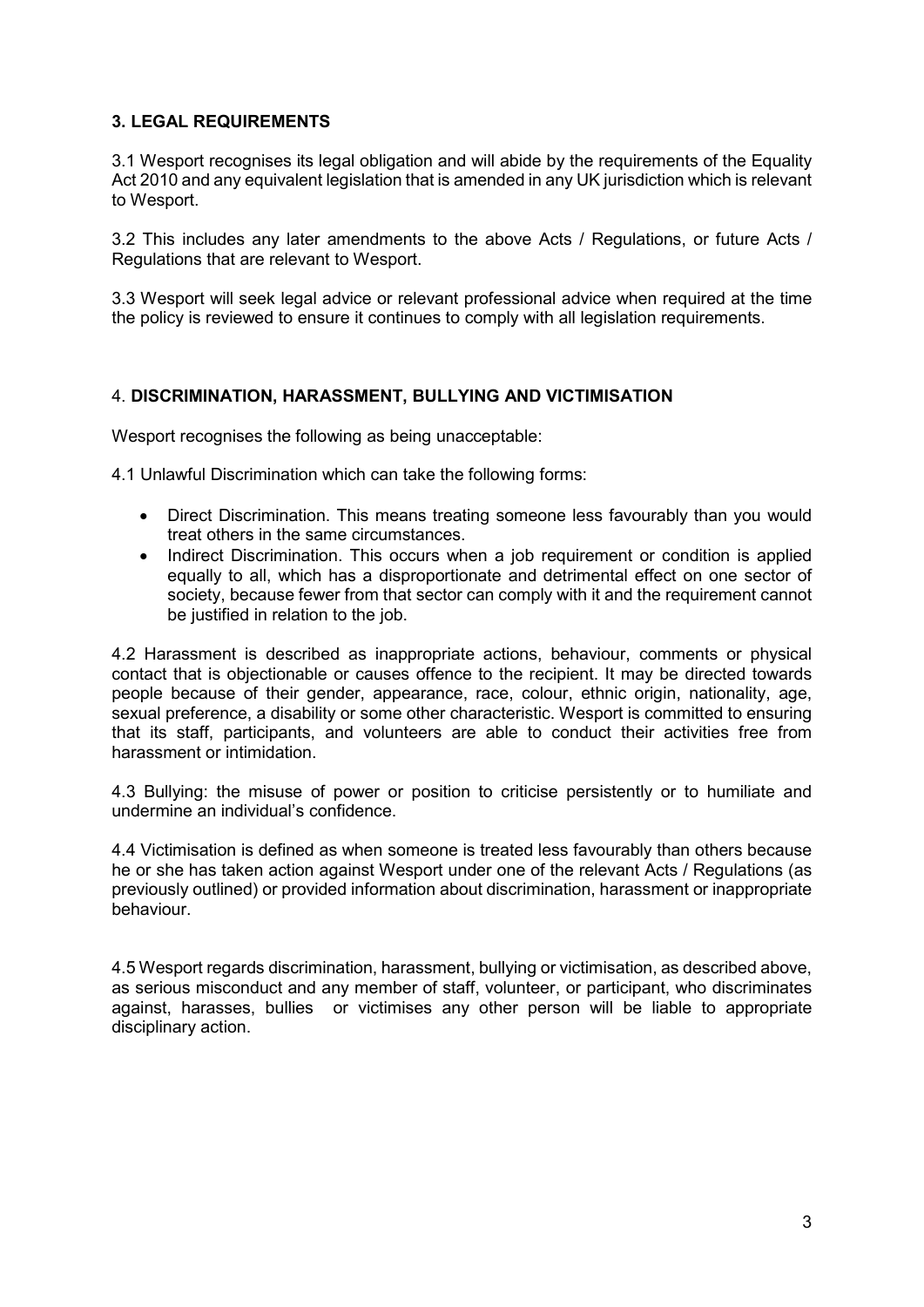## **3. LEGAL REQUIREMENTS**

3.1 Wesport recognises its legal obligation and will abide by the requirements of the Equality Act 2010 and any equivalent legislation that is amended in any UK jurisdiction which is relevant to Wesport.

3.2 This includes any later amendments to the above Acts / Regulations, or future Acts / Regulations that are relevant to Wesport.

3.3 Wesport will seek legal advice or relevant professional advice when required at the time the policy is reviewed to ensure it continues to comply with all legislation requirements.

#### 4. **DISCRIMINATION, HARASSMENT, BULLYING AND VICTIMISATION**

Wesport recognises the following as being unacceptable:

4.1 Unlawful Discrimination which can take the following forms:

- Direct Discrimination. This means treating someone less favourably than you would treat others in the same circumstances.
- Indirect Discrimination. This occurs when a job requirement or condition is applied equally to all, which has a disproportionate and detrimental effect on one sector of society, because fewer from that sector can comply with it and the requirement cannot be justified in relation to the job.

4.2 Harassment is described as inappropriate actions, behaviour, comments or physical contact that is objectionable or causes offence to the recipient. It may be directed towards people because of their gender, appearance, race, colour, ethnic origin, nationality, age, sexual preference, a disability or some other characteristic. Wesport is committed to ensuring that its staff, participants, and volunteers are able to conduct their activities free from harassment or intimidation.

4.3 Bullying: the misuse of power or position to criticise persistently or to humiliate and undermine an individual's confidence.

4.4 Victimisation is defined as when someone is treated less favourably than others because he or she has taken action against Wesport under one of the relevant Acts / Regulations (as previously outlined) or provided information about discrimination, harassment or inappropriate behaviour.

4.5 Wesport regards discrimination, harassment, bullying or victimisation, as described above, as serious misconduct and any member of staff, volunteer, or participant, who discriminates against, harasses, bullies or victimises any other person will be liable to appropriate disciplinary action.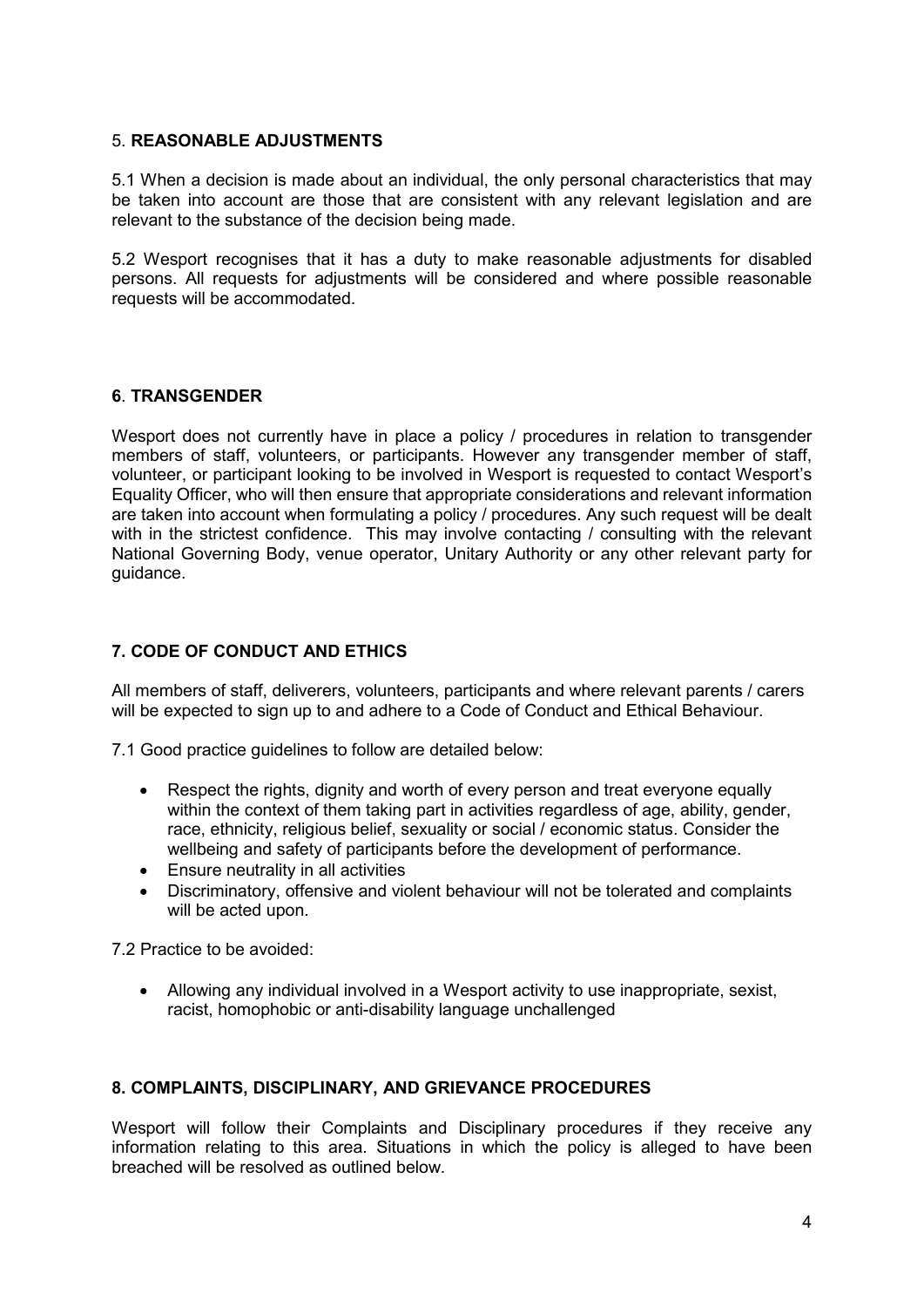#### 5. **REASONABLE ADJUSTMENTS**

5.1 When a decision is made about an individual, the only personal characteristics that may be taken into account are those that are consistent with any relevant legislation and are relevant to the substance of the decision being made.

5.2 Wesport recognises that it has a duty to make reasonable adjustments for disabled persons. All requests for adjustments will be considered and where possible reasonable requests will be accommodated.

# **6**. **TRANSGENDER**

Wesport does not currently have in place a policy / procedures in relation to transgender members of staff, volunteers, or participants. However any transgender member of staff, volunteer, or participant looking to be involved in Wesport is requested to contact Wesport's Equality Officer, who will then ensure that appropriate considerations and relevant information are taken into account when formulating a policy / procedures. Any such request will be dealt with in the strictest confidence. This may involve contacting / consulting with the relevant National Governing Body, venue operator, Unitary Authority or any other relevant party for guidance.

# **7. CODE OF CONDUCT AND ETHICS**

All members of staff, deliverers, volunteers, participants and where relevant parents / carers will be expected to sign up to and adhere to a Code of Conduct and Ethical Behaviour.

7.1 Good practice guidelines to follow are detailed below:

- Respect the rights, dignity and worth of every person and treat everyone equally within the context of them taking part in activities regardless of age, ability, gender, race, ethnicity, religious belief, sexuality or social / economic status. Consider the wellbeing and safety of participants before the development of performance.
- Ensure neutrality in all activities
- Discriminatory, offensive and violent behaviour will not be tolerated and complaints will be acted upon.

7.2 Practice to be avoided:

• Allowing any individual involved in a Wesport activity to use inappropriate, sexist, racist, homophobic or anti-disability language unchallenged

# **8. COMPLAINTS, DISCIPLINARY, AND GRIEVANCE PROCEDURES**

Wesport will follow their Complaints and Disciplinary procedures if they receive any information relating to this area. Situations in which the policy is alleged to have been breached will be resolved as outlined below.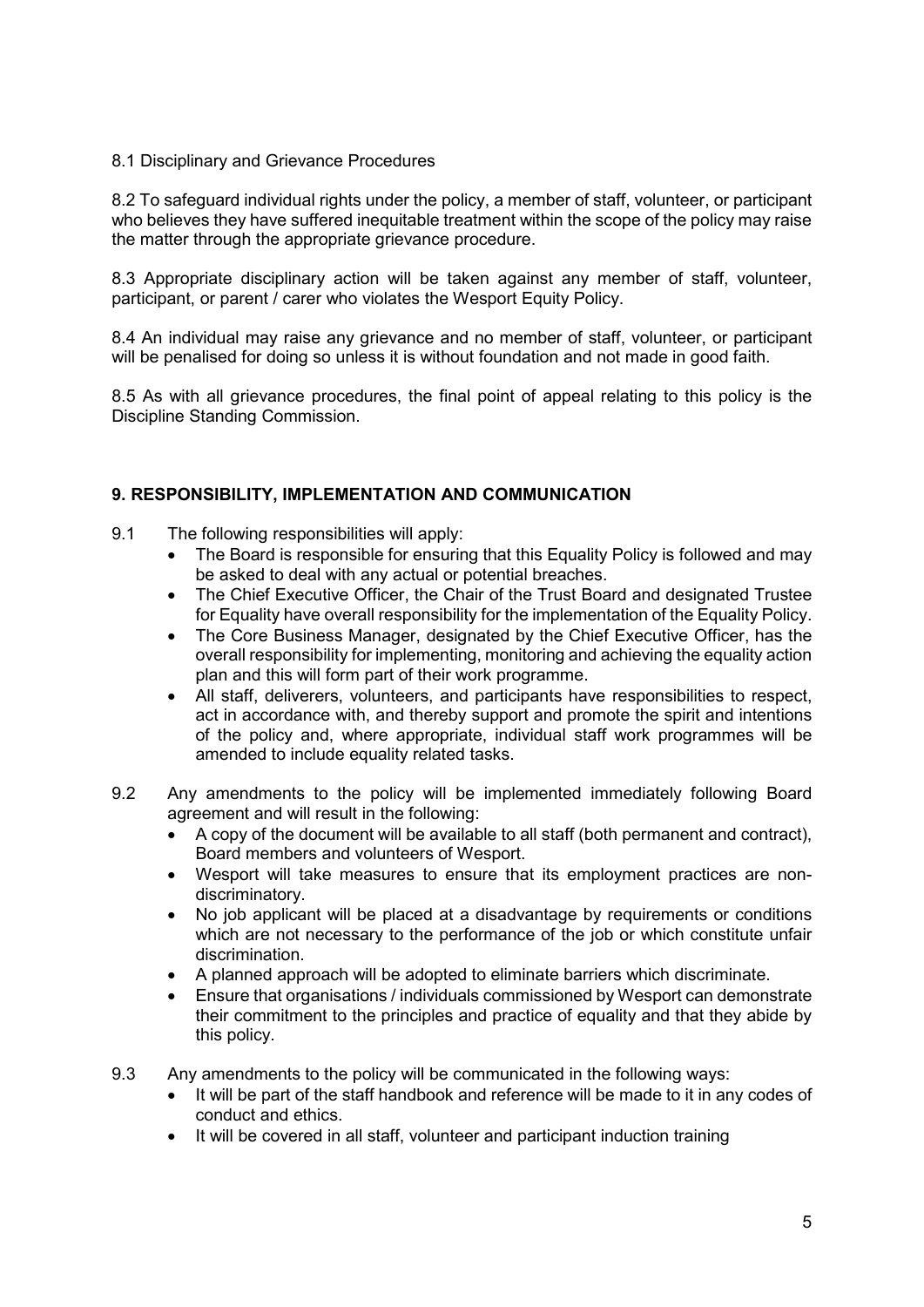## 8.1 Disciplinary and Grievance Procedures

8.2 To safeguard individual rights under the policy, a member of staff, volunteer, or participant who believes they have suffered inequitable treatment within the scope of the policy may raise the matter through the appropriate grievance procedure.

8.3 Appropriate disciplinary action will be taken against any member of staff, volunteer, participant, or parent / carer who violates the Wesport Equity Policy.

8.4 An individual may raise any grievance and no member of staff, volunteer, or participant will be penalised for doing so unless it is without foundation and not made in good faith.

8.5 As with all grievance procedures, the final point of appeal relating to this policy is the Discipline Standing Commission.

## **9. RESPONSIBILITY, IMPLEMENTATION AND COMMUNICATION**

- 9.1 The following responsibilities will apply:
	- The Board is responsible for ensuring that this Equality Policy is followed and may be asked to deal with any actual or potential breaches.
	- The Chief Executive Officer, the Chair of the Trust Board and designated Trustee for Equality have overall responsibility for the implementation of the Equality Policy.
	- The Core Business Manager, designated by the Chief Executive Officer, has the overall responsibility for implementing, monitoring and achieving the equality action plan and this will form part of their work programme.
	- All staff, deliverers, volunteers, and participants have responsibilities to respect, act in accordance with, and thereby support and promote the spirit and intentions of the policy and, where appropriate, individual staff work programmes will be amended to include equality related tasks.
- 9.2 Any amendments to the policy will be implemented immediately following Board agreement and will result in the following:
	- A copy of the document will be available to all staff (both permanent and contract), Board members and volunteers of Wesport.
	- Wesport will take measures to ensure that its employment practices are nondiscriminatory.
	- No job applicant will be placed at a disadvantage by requirements or conditions which are not necessary to the performance of the job or which constitute unfair discrimination.
	- A planned approach will be adopted to eliminate barriers which discriminate.
	- Ensure that organisations / individuals commissioned by Wesport can demonstrate their commitment to the principles and practice of equality and that they abide by this policy.
- 9.3 Any amendments to the policy will be communicated in the following ways:
	- It will be part of the staff handbook and reference will be made to it in any codes of conduct and ethics.
	- It will be covered in all staff, volunteer and participant induction training